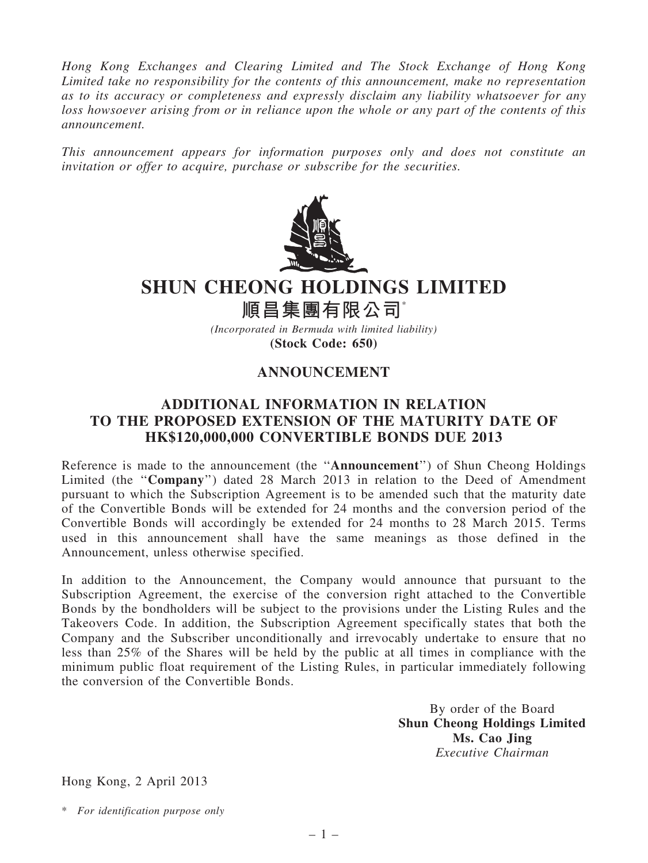Hong Kong Exchanges and Clearing Limited and The Stock Exchange of Hong Kong Limited take no responsibility for the contents of this announcement, make no representation as to its accuracy or completeness and expressly disclaim any liability whatsoever for any loss howsoever arising from or in reliance upon the whole or any part of the contents of this announcement.

This announcement appears for information purposes only and does not constitute an invitation or offer to acquire, purchase or subscribe for the securities.



## SHUN CHEONG HOLDINGS LIMITED

順昌集團有限公司\* (Incorporated in Bermuda with limited liability)

(Stock Code: 650)

## ANNOUNCEMENT

## ADDITIONAL INFORMATION IN RELATION TO THE PROPOSED EXTENSION OF THE MATURITY DATE OF HK\$120,000,000 CONVERTIBLE BONDS DUE 2013

Reference is made to the announcement (the ''Announcement'') of Shun Cheong Holdings Limited (the ''Company'') dated 28 March 2013 in relation to the Deed of Amendment pursuant to which the Subscription Agreement is to be amended such that the maturity date of the Convertible Bonds will be extended for 24 months and the conversion period of the Convertible Bonds will accordingly be extended for 24 months to 28 March 2015. Terms used in this announcement shall have the same meanings as those defined in the Announcement, unless otherwise specified.

In addition to the Announcement, the Company would announce that pursuant to the Subscription Agreement, the exercise of the conversion right attached to the Convertible Bonds by the bondholders will be subject to the provisions under the Listing Rules and the Takeovers Code. In addition, the Subscription Agreement specifically states that both the Company and the Subscriber unconditionally and irrevocably undertake to ensure that no less than 25% of the Shares will be held by the public at all times in compliance with the minimum public float requirement of the Listing Rules, in particular immediately following the conversion of the Convertible Bonds.

> By order of the Board Shun Cheong Holdings Limited Ms. Cao Jing Executive Chairman

Hong Kong, 2 April 2013

\* For identification purpose only